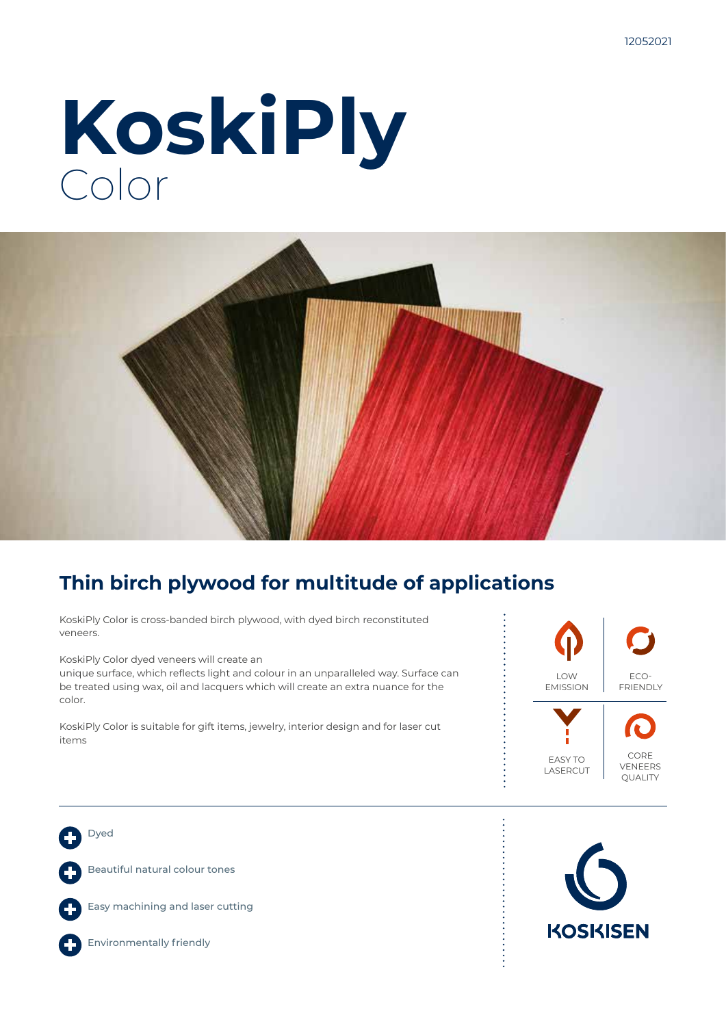# **KoskiPly** Color



### **Thin birch plywood for multitude of applications**

KoskiPly Color is cross-banded birch plywood, with dyed birch reconstituted veneers.

KoskiPly Color dyed veneers will create an

unique surface, which reflects light and colour in an unparalleled way. Surface can be treated using wax, oil and lacquers which will create an extra nuance for the color.

KoskiPly Color is suitable for gift items, jewelry, interior design and for laser cut items



Dyed Beautiful natural colour tones Easy machining and laser cutting

Environmentally friendly